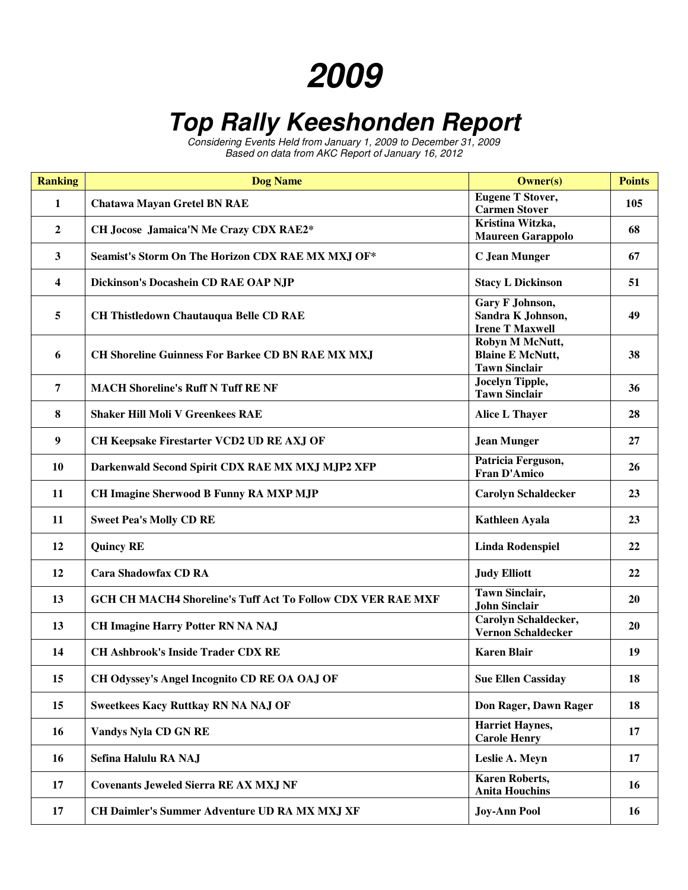## **2009**

## **Top Rally Keeshonden Report**

Considering Events Held from January 1, 2009 to December 31, 2009 Based on data from AKC Report of January 16, 2012

| <b>Ranking</b>          | <b>Dog Name</b>                                                    | <b>Owner(s)</b>                                                    | <b>Points</b> |
|-------------------------|--------------------------------------------------------------------|--------------------------------------------------------------------|---------------|
| $\mathbf{1}$            | <b>Chatawa Mayan Gretel BN RAE</b>                                 | <b>Eugene T Stover,</b><br><b>Carmen Stover</b>                    | 105           |
| $\boldsymbol{2}$        | CH Jocose Jamaica'N Me Crazy CDX RAE2*                             | Kristina Witzka,<br><b>Maureen Garappolo</b>                       | 68            |
| $\mathbf{3}$            | Seamist's Storm On The Horizon CDX RAE MX MXJ OF*                  | <b>C</b> Jean Munger                                               | 67            |
| $\overline{\mathbf{4}}$ | Dickinson's Docashein CD RAE OAP NJP                               | <b>Stacy L Dickinson</b>                                           | 51            |
| 5                       | <b>CH Thistledown Chautauqua Belle CD RAE</b>                      | Gary F Johnson,<br>Sandra K Johnson,<br><b>Irene T Maxwell</b>     | 49            |
| 6                       | <b>CH Shoreline Guinness For Barkee CD BN RAE MX MXJ</b>           | Robyn M McNutt,<br><b>Blaine E McNutt,</b><br><b>Tawn Sinclair</b> | 38            |
| 7                       | <b>MACH Shoreline's Ruff N Tuff RE NF</b>                          | <b>Jocelyn Tipple,</b><br><b>Tawn Sinclair</b>                     | 36            |
| 8                       | <b>Shaker Hill Moli V Greenkees RAE</b>                            | <b>Alice L Thayer</b>                                              | 28            |
| 9                       | CH Keepsake Firestarter VCD2 UD RE AXJ OF                          | <b>Jean Munger</b>                                                 | 27            |
| 10                      | Darkenwald Second Spirit CDX RAE MX MXJ MJP2 XFP                   | Patricia Ferguson,<br><b>Fran D'Amico</b>                          | 26            |
| 11                      | CH Imagine Sherwood B Funny RA MXP MJP                             | <b>Carolyn Schaldecker</b>                                         | 23            |
| 11                      | <b>Sweet Pea's Molly CD RE</b>                                     | Kathleen Ayala                                                     | 23            |
| 12                      | <b>Quincy RE</b>                                                   | <b>Linda Rodenspiel</b>                                            | 22            |
| 12                      | <b>Cara Shadowfax CD RA</b>                                        | <b>Judy Elliott</b>                                                | 22            |
| 13                      | <b>GCH CH MACH4 Shoreline's Tuff Act To Follow CDX VER RAE MXF</b> | <b>Tawn Sinclair,</b><br><b>John Sinclair</b>                      | 20            |
| 13                      | CH Imagine Harry Potter RN NA NAJ                                  | <b>Carolyn Schaldecker,</b><br><b>Vernon Schaldecker</b>           | <b>20</b>     |
| 14                      | <b>CH Ashbrook's Inside Trader CDX RE</b>                          | <b>Karen Blair</b>                                                 | 19            |
| 15                      | CH Odyssey's Angel Incognito CD RE OA OAJ OF                       | <b>Sue Ellen Cassiday</b>                                          | 18            |
| 15                      | <b>Sweetkees Kacy Ruttkay RN NA NAJ OF</b>                         | Don Rager, Dawn Rager                                              | 18            |
| 16                      | <b>Vandys Nyla CD GN RE</b>                                        | <b>Harriet Haynes,</b><br><b>Carole Henry</b>                      | 17            |
| 16                      | Sefina Halulu RA NAJ                                               | Leslie A. Meyn                                                     | 17            |
| 17                      | <b>Covenants Jeweled Sierra RE AX MXJ NF</b>                       | <b>Karen Roberts,</b><br><b>Anita Houchins</b>                     | 16            |
| 17                      | CH Daimler's Summer Adventure UD RA MX MXJ XF                      | <b>Joy-Ann Pool</b>                                                | 16            |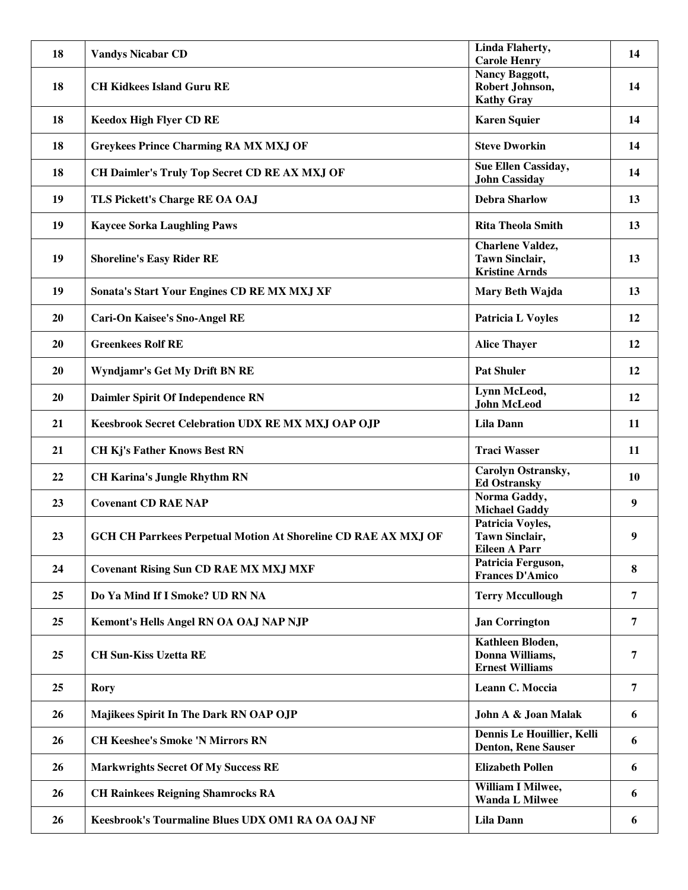| 18 | <b>Vandys Nicabar CD</b>                                              | Linda Flaherty,                                          | 14        |
|----|-----------------------------------------------------------------------|----------------------------------------------------------|-----------|
|    |                                                                       | <b>Carole Henry</b><br><b>Nancy Baggott,</b>             |           |
| 18 | <b>CH Kidkees Island Guru RE</b>                                      | Robert Johnson,                                          | 14        |
|    |                                                                       | <b>Kathy Gray</b>                                        |           |
|    |                                                                       |                                                          |           |
| 18 | <b>Keedox High Flyer CD RE</b>                                        | <b>Karen Squier</b>                                      | 14        |
| 18 | <b>Greykees Prince Charming RA MX MXJ OF</b>                          | <b>Steve Dworkin</b>                                     | 14        |
| 18 | CH Daimler's Truly Top Secret CD RE AX MXJ OF                         | Sue Ellen Cassiday,<br><b>John Cassiday</b>              | 14        |
| 19 | TLS Pickett's Charge RE OA OAJ                                        | <b>Debra Sharlow</b>                                     | 13        |
| 19 | <b>Kaycee Sorka Laughling Paws</b>                                    | <b>Rita Theola Smith</b>                                 | 13        |
|    |                                                                       | <b>Charlene Valdez,</b>                                  |           |
| 19 | <b>Shoreline's Easy Rider RE</b>                                      | <b>Tawn Sinclair,</b>                                    | 13        |
|    |                                                                       | <b>Kristine Arnds</b>                                    |           |
| 19 | Sonata's Start Your Engines CD RE MX MXJ XF                           | Mary Beth Wajda                                          | 13        |
|    |                                                                       |                                                          |           |
| 20 | <b>Cari-On Kaisee's Sno-Angel RE</b>                                  | <b>Patricia L Voyles</b>                                 | 12        |
| 20 | <b>Greenkees Rolf RE</b>                                              | <b>Alice Thayer</b>                                      | 12        |
| 20 | Wyndjamr's Get My Drift BN RE                                         | <b>Pat Shuler</b>                                        | 12        |
| 20 | Daimler Spirit Of Independence RN                                     | Lynn McLeod,<br><b>John McLeod</b>                       | 12        |
|    |                                                                       |                                                          |           |
| 21 | Keesbrook Secret Celebration UDX RE MX MXJ OAP OJP                    | <b>Lila Dann</b>                                         | 11        |
| 21 | <b>CH Kj's Father Knows Best RN</b>                                   | <b>Traci Wasser</b>                                      | <b>11</b> |
| 22 | <b>CH Karina's Jungle Rhythm RN</b>                                   | Carolyn Ostransky,<br><b>Ed Ostransky</b>                | <b>10</b> |
|    |                                                                       | Norma Gaddy,                                             |           |
| 23 | <b>Covenant CD RAE NAP</b>                                            | <b>Michael Gaddy</b>                                     | 9         |
|    |                                                                       | Patricia Voyles,                                         |           |
| 23 | <b>GCH CH Parrkees Perpetual Motion At Shoreline CD RAE AX MXJ OF</b> | Tawn Sinclair,                                           | 9         |
|    |                                                                       | <b>Eileen A Parr</b>                                     |           |
| 24 |                                                                       | Patricia Ferguson,                                       | 8         |
|    | <b>Covenant Rising Sun CD RAE MX MXJ MXF</b>                          | <b>Frances D'Amico</b>                                   |           |
| 25 | Do Ya Mind If I Smoke? UD RN NA                                       | <b>Terry Mccullough</b>                                  | 7         |
| 25 | Kemont's Hells Angel RN OA OAJ NAP NJP                                | <b>Jan Corrington</b>                                    | 7         |
|    |                                                                       | Kathleen Bloden,                                         |           |
| 25 | <b>CH Sun-Kiss Uzetta RE</b>                                          | Donna Williams,                                          | 7         |
|    |                                                                       | <b>Ernest Williams</b>                                   |           |
|    |                                                                       |                                                          |           |
| 25 | <b>Rory</b>                                                           | Leann C. Moccia                                          | 7         |
| 26 | Majikees Spirit In The Dark RN OAP OJP                                | John A & Joan Malak                                      | 6         |
| 26 | <b>CH Keeshee's Smoke 'N Mirrors RN</b>                               | Dennis Le Houillier, Kelli<br><b>Denton, Rene Sauser</b> | 6         |
| 26 | <b>Markwrights Secret Of My Success RE</b>                            | <b>Elizabeth Pollen</b>                                  | 6         |
| 26 | <b>CH Rainkees Reigning Shamrocks RA</b>                              | William I Milwee,<br><b>Wanda L Milwee</b>               | 6         |
| 26 | Keesbrook's Tourmaline Blues UDX OM1 RA OA OAJ NF                     | <b>Lila Dann</b>                                         | 6         |
|    |                                                                       |                                                          |           |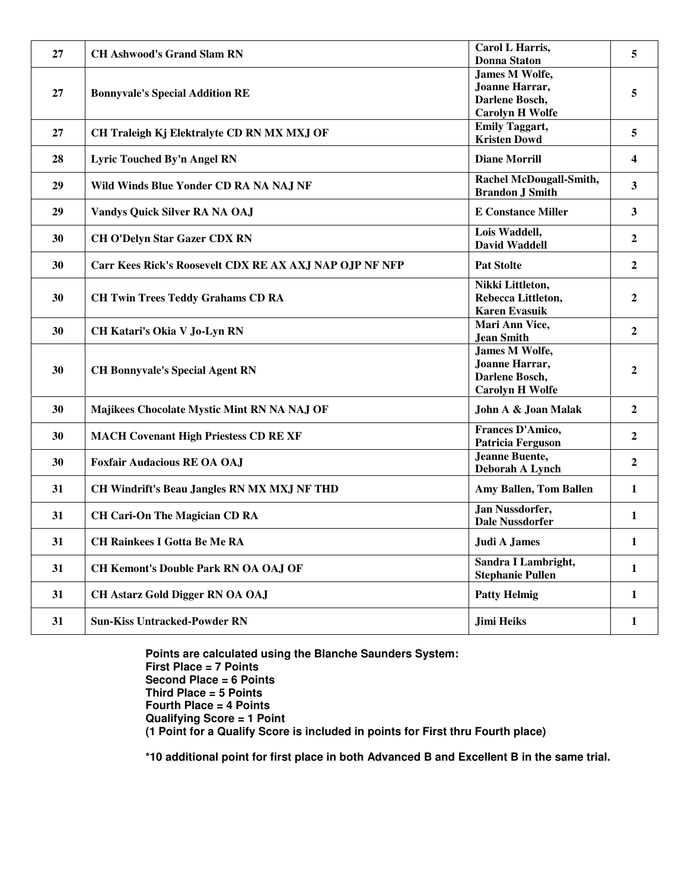| 27 | <b>CH Ashwood's Grand Slam RN</b>                       | Carol L Harris,<br><b>Donna Staton</b>                                              | 5                |
|----|---------------------------------------------------------|-------------------------------------------------------------------------------------|------------------|
| 27 | <b>Bonnyvale's Special Addition RE</b>                  | James M Wolfe,<br>Joanne Harrar,<br>Darlene Bosch,<br><b>Carolyn H Wolfe</b>        | 5                |
| 27 | CH Traleigh Kj Elektralyte CD RN MX MXJ OF              | <b>Emily Taggart,</b><br><b>Kristen Dowd</b>                                        | 5                |
| 28 | Lyric Touched By'n Angel RN                             | <b>Diane Morrill</b>                                                                | 4                |
| 29 | Wild Winds Blue Yonder CD RA NA NAJ NF                  | Rachel McDougall-Smith,<br><b>Brandon J Smith</b>                                   | 3                |
| 29 | Vandys Quick Silver RA NA OAJ                           | <b>E Constance Miller</b>                                                           | $\mathbf{3}$     |
| 30 | <b>CH O'Delyn Star Gazer CDX RN</b>                     | Lois Waddell,<br><b>David Waddell</b>                                               | $\overline{2}$   |
| 30 | Carr Kees Rick's Roosevelt CDX RE AX AXJ NAP OJP NF NFP | <b>Pat Stolte</b>                                                                   | $\boldsymbol{2}$ |
| 30 | <b>CH Twin Trees Teddy Grahams CD RA</b>                | Nikki Littleton,<br>Rebecca Littleton,<br><b>Karen Evasuik</b>                      | $\mathbf{2}$     |
| 30 | CH Katari's Okia V Jo-Lyn RN                            | Mari Ann Vice,<br><b>Jean Smith</b>                                                 | $\overline{2}$   |
| 30 | <b>CH Bonnyvale's Special Agent RN</b>                  | <b>James M Wolfe,</b><br>Joanne Harrar,<br>Darlene Bosch,<br><b>Carolyn H Wolfe</b> | $\overline{2}$   |
| 30 | Majikees Chocolate Mystic Mint RN NA NAJ OF             | John A & Joan Malak                                                                 | $\overline{2}$   |
| 30 | <b>MACH Covenant High Priestess CD RE XF</b>            | Frances D'Amico,<br><b>Patricia Ferguson</b>                                        | $\overline{2}$   |
| 30 | <b>Foxfair Audacious RE OA OAJ</b>                      | <b>Jeanne Buente,</b><br>Deborah A Lynch                                            | $\overline{2}$   |
| 31 | <b>CH Windrift's Beau Jangles RN MX MXJ NF THD</b>      | Amy Ballen, Tom Ballen                                                              | 1                |
| 31 | <b>CH Cari-On The Magician CD RA</b>                    | Jan Nussdorfer,<br><b>Dale Nussdorfer</b>                                           | $\mathbf{1}$     |
| 31 | <b>CH Rainkees I Gotta Be Me RA</b>                     | Judi A James                                                                        | 1                |
| 31 | <b>CH Kemont's Double Park RN OA OAJ OF</b>             | Sandra I Lambright,<br><b>Stephanie Pullen</b>                                      | $\mathbf{1}$     |
| 31 | <b>CH Astarz Gold Digger RN OA OAJ</b>                  | <b>Patty Helmig</b>                                                                 | 1                |
| 31 | <b>Sun-Kiss Untracked-Powder RN</b>                     | <b>Jimi Heiks</b>                                                                   | $\mathbf{1}$     |

**Points are calculated using the Blanche Saunders System: First Place = 7 Points Second Place = 6 Points Third Place = 5 Points Fourth Place = 4 Points Qualifying Score = 1 Point (1 Point for a Qualify Score is included in points for First thru Fourth place)** 

**\*10 additional point for first place in both Advanced B and Excellent B in the same trial.**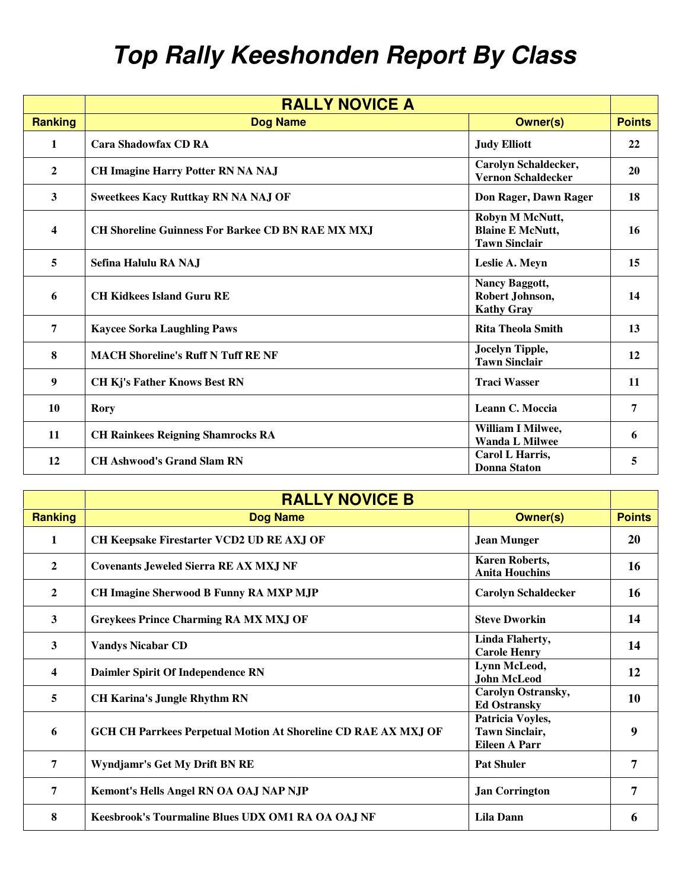## **Top Rally Keeshonden Report By Class**

|                | <b>RALLY NOVICE A</b>                                    |                                                                    |               |
|----------------|----------------------------------------------------------|--------------------------------------------------------------------|---------------|
| <b>Ranking</b> | <b>Dog Name</b>                                          | <b>Owner(s)</b>                                                    | <b>Points</b> |
| 1              | <b>Cara Shadowfax CD RA</b>                              | <b>Judy Elliott</b>                                                | 22            |
| 2              | <b>CH Imagine Harry Potter RN NA NAJ</b>                 | Carolyn Schaldecker,<br><b>Vernon Schaldecker</b>                  | 20            |
| 3              | <b>Sweetkees Kacy Ruttkay RN NA NAJ OF</b>               | Don Rager, Dawn Rager                                              | 18            |
| 4              | <b>CH Shoreline Guinness For Barkee CD BN RAE MX MXJ</b> | Robyn M McNutt,<br><b>Blaine E McNutt,</b><br><b>Tawn Sinclair</b> | 16            |
| 5              | Sefina Halulu RA NAJ                                     | Leslie A. Meyn                                                     | 15            |
| 6              | <b>CH Kidkees Island Guru RE</b>                         | Nancy Baggott,<br>Robert Johnson,<br><b>Kathy Gray</b>             | 14            |
| 7              | <b>Kaycee Sorka Laughling Paws</b>                       | <b>Rita Theola Smith</b>                                           | 13            |
| 8              | <b>MACH Shoreline's Ruff N Tuff RE NF</b>                | Jocelyn Tipple,<br><b>Tawn Sinclair</b>                            | 12            |
| 9              | <b>CH Kj's Father Knows Best RN</b>                      | <b>Traci Wasser</b>                                                | 11            |
| 10             | <b>Rory</b>                                              | Leann C. Moccia                                                    | 7             |
| 11             | <b>CH Rainkees Reigning Shamrocks RA</b>                 | William I Milwee,<br><b>Wanda L Milwee</b>                         | 6             |
| 12             | <b>CH Ashwood's Grand Slam RN</b>                        | Carol L Harris,<br>Donna Staton                                    | 5             |

|                | <b>RALLY NOVICE B</b>                                                 |                                                                   |               |
|----------------|-----------------------------------------------------------------------|-------------------------------------------------------------------|---------------|
| <b>Ranking</b> | <b>Dog Name</b>                                                       | <b>Owner(s)</b>                                                   | <b>Points</b> |
| $\mathbf{1}$   | <b>CH Keepsake Firestarter VCD2 UD RE AXJ OF</b>                      | <b>Jean Munger</b>                                                | 20            |
| $\overline{2}$ | <b>Covenants Jeweled Sierra RE AX MXJ NF</b>                          | <b>Karen Roberts,</b><br><b>Anita Houchins</b>                    | 16            |
| $\overline{2}$ | CH Imagine Sherwood B Funny RA MXP MJP                                | <b>Carolyn Schaldecker</b>                                        | 16            |
| $\mathbf{3}$   | <b>Greykees Prince Charming RA MX MXJ OF</b>                          | <b>Steve Dworkin</b>                                              | 14            |
| 3              | <b>Vandys Nicabar CD</b>                                              | <b>Linda Flaherty,</b><br><b>Carole Henry</b>                     | 14            |
| 4              | Daimler Spirit Of Independence RN                                     | Lynn McLeod,<br><b>John McLeod</b>                                | 12            |
| 5              | <b>CH Karina's Jungle Rhythm RN</b>                                   | <b>Carolyn Ostransky,</b><br><b>Ed Ostransky</b>                  | 10            |
| 6              | <b>GCH CH Parrkees Perpetual Motion At Shoreline CD RAE AX MXJ OF</b> | Patricia Voyles,<br><b>Tawn Sinclair,</b><br><b>Eileen A Parr</b> | 9             |
| 7              | Wyndjamr's Get My Drift BN RE                                         | <b>Pat Shuler</b>                                                 | 7             |
| 7              | Kemont's Hells Angel RN OA OAJ NAP NJP                                | <b>Jan Corrington</b>                                             | 7             |
| 8              | Keesbrook's Tourmaline Blues UDX OM1 RA OA OAJ NF                     | <b>Lila Dann</b>                                                  | 6             |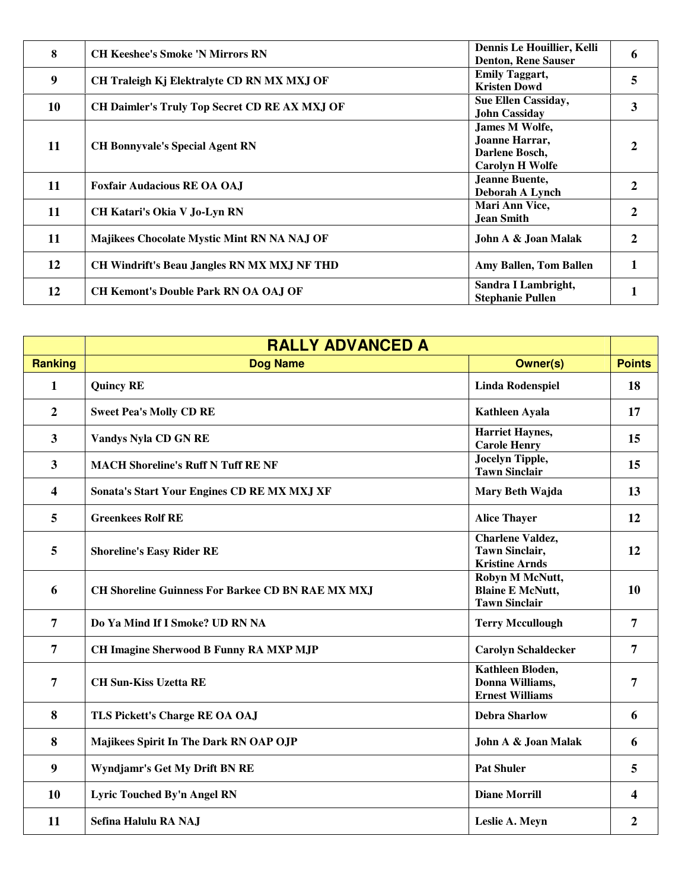| 8  | <b>CH Keeshee's Smoke 'N Mirrors RN</b>              | Dennis Le Houillier, Kelli<br><b>Denton, Rene Sauser</b>                     | 6            |
|----|------------------------------------------------------|------------------------------------------------------------------------------|--------------|
| 9  | CH Traleigh Kj Elektralyte CD RN MX MXJ OF           | <b>Emily Taggart,</b><br><b>Kristen Dowd</b>                                 | 5            |
| 10 | <b>CH Daimler's Truly Top Secret CD RE AX MXJ OF</b> | <b>Sue Ellen Cassiday,</b><br><b>John Cassiday</b>                           | $\mathbf{3}$ |
| 11 | <b>CH Bonnyvale's Special Agent RN</b>               | James M Wolfe,<br>Joanne Harrar,<br>Darlene Bosch,<br><b>Carolyn H Wolfe</b> |              |
| 11 | <b>Foxfair Audacious RE OA OA.I</b>                  | Jeanne Buente,<br>Deborah A Lynch                                            | 2            |
| 11 | CH Katari's Okia V Jo-Lyn RN                         | Mari Ann Vice,<br><b>Jean Smith</b>                                          | $\mathbf{2}$ |
| 11 | Majikees Chocolate Mystic Mint RN NA NAJ OF          | John A & Joan Malak                                                          | 2            |
| 12 | CH Windrift's Beau Jangles RN MX MXJ NF THD          | Amy Ballen, Tom Ballen                                                       |              |
| 12 | <b>CH Kemont's Double Park RN OA OAJ OF</b>          | Sandra I Lambright,<br><b>Stephanie Pullen</b>                               |              |

|                  | <b>RALLY ADVANCED A</b>                                  |                                                                           |                  |
|------------------|----------------------------------------------------------|---------------------------------------------------------------------------|------------------|
| <b>Ranking</b>   | <b>Dog Name</b>                                          | <b>Owner(s)</b>                                                           | <b>Points</b>    |
| 1                | <b>Quincy RE</b>                                         | <b>Linda Rodenspiel</b>                                                   | 18               |
| $\overline{2}$   | <b>Sweet Pea's Molly CD RE</b>                           | <b>Kathleen Ayala</b>                                                     | 17               |
| $\mathbf{3}$     | Vandys Nyla CD GN RE                                     | <b>Harriet Haynes,</b><br><b>Carole Henry</b>                             | 15               |
| 3                | <b>MACH Shoreline's Ruff N Tuff RE NF</b>                | <b>Jocelyn Tipple,</b><br><b>Tawn Sinclair</b>                            | 15               |
| 4                | Sonata's Start Your Engines CD RE MX MXJ XF              | Mary Beth Wajda                                                           | 13               |
| 5                | <b>Greenkees Rolf RE</b>                                 | <b>Alice Thayer</b>                                                       | 12               |
| 5                | <b>Shoreline's Easy Rider RE</b>                         | <b>Charlene Valdez,</b><br><b>Tawn Sinclair,</b><br><b>Kristine Arnds</b> | 12               |
| 6                | <b>CH Shoreline Guinness For Barkee CD BN RAE MX MXJ</b> | Robyn M McNutt,<br><b>Blaine E McNutt,</b><br><b>Tawn Sinclair</b>        | 10               |
| $\overline{7}$   | Do Ya Mind If I Smoke? UD RN NA                          | <b>Terry Mccullough</b>                                                   | 7                |
| $\overline{7}$   | <b>CH Imagine Sherwood B Funny RA MXP MJP</b>            | <b>Carolyn Schaldecker</b>                                                | 7                |
| 7                | <b>CH Sun-Kiss Uzetta RE</b>                             | Kathleen Bloden,<br>Donna Williams,<br><b>Ernest Williams</b>             | $\overline{7}$   |
| 8                | TLS Pickett's Charge RE OA OAJ                           | <b>Debra Sharlow</b>                                                      | 6                |
| 8                | Majikees Spirit In The Dark RN OAP OJP                   | John A & Joan Malak                                                       | 6                |
| $\boldsymbol{9}$ | Wyndjamr's Get My Drift BN RE                            | <b>Pat Shuler</b>                                                         | 5                |
| 10               | Lyric Touched By'n Angel RN                              | <b>Diane Morrill</b>                                                      | 4                |
| 11               | Sefina Halulu RA NAJ                                     | Leslie A. Meyn                                                            | $\boldsymbol{2}$ |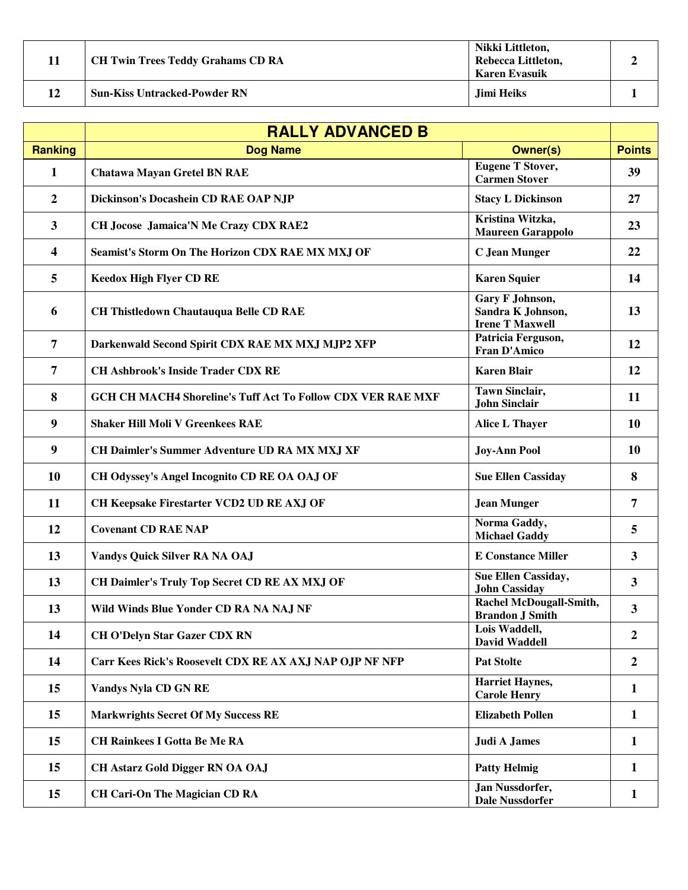|    | <b>CH Twin Trees Teddy Grahams CD RA</b> | Nikki Littleton,<br>Rebecca Littleton,<br><b>Karen Evasuik</b> |  |
|----|------------------------------------------|----------------------------------------------------------------|--|
| 12 | <b>Sun-Kiss Untracked-Powder RN</b>      | Jimi Heiks                                                     |  |

|                | <b>RALLY ADVANCED B</b>                                            |                                                                |                  |
|----------------|--------------------------------------------------------------------|----------------------------------------------------------------|------------------|
| <b>Ranking</b> | <b>Dog Name</b>                                                    | <b>Owner(s)</b>                                                | <b>Points</b>    |
| $\mathbf{1}$   | <b>Chatawa Mayan Gretel BN RAE</b>                                 | <b>Eugene T Stover,</b><br><b>Carmen Stover</b>                | 39               |
| $\overline{2}$ | Dickinson's Docashein CD RAE OAP NJP                               | <b>Stacy L Dickinson</b>                                       | 27               |
| 3              | <b>CH Jocose Jamaica'N Me Crazy CDX RAE2</b>                       | Kristina Witzka,<br><b>Maureen Garappolo</b>                   | 23               |
| 4              | Seamist's Storm On The Horizon CDX RAE MX MXJ OF                   | <b>C</b> Jean Munger                                           | 22               |
| 5              | <b>Keedox High Flyer CD RE</b>                                     | <b>Karen Squier</b>                                            | 14               |
| 6              | <b>CH Thistledown Chautauqua Belle CD RAE</b>                      | Gary F Johnson,<br>Sandra K Johnson,<br><b>Irene T Maxwell</b> | 13               |
| $\overline{7}$ | Darkenwald Second Spirit CDX RAE MX MXJ MJP2 XFP                   | Patricia Ferguson,<br><b>Fran D'Amico</b>                      | 12               |
| $\overline{7}$ | <b>CH Ashbrook's Inside Trader CDX RE</b>                          | <b>Karen Blair</b>                                             | <b>12</b>        |
| 8              | <b>GCH CH MACH4 Shoreline's Tuff Act To Follow CDX VER RAE MXF</b> | <b>Tawn Sinclair,</b><br><b>John Sinclair</b>                  | 11               |
| 9              | <b>Shaker Hill Moli V Greenkees RAE</b>                            | <b>Alice L Thayer</b>                                          | 10               |
| 9              | <b>CH Daimler's Summer Adventure UD RA MX MXJ XF</b>               | <b>Joy-Ann Pool</b>                                            | <b>10</b>        |
| 10             | CH Odyssey's Angel Incognito CD RE OA OAJ OF                       | <b>Sue Ellen Cassiday</b>                                      | 8                |
| 11             | CH Keepsake Firestarter VCD2 UD RE AXJ OF                          | <b>Jean Munger</b>                                             | 7                |
| 12             | <b>Covenant CD RAE NAP</b>                                         | Norma Gaddy,<br><b>Michael Gaddy</b>                           | 5                |
| 13             | Vandys Quick Silver RA NA OAJ                                      | <b>E Constance Miller</b>                                      | $\overline{3}$   |
| 13             | CH Daimler's Truly Top Secret CD RE AX MXJ OF                      | Sue Ellen Cassiday,<br><b>John Cassiday</b>                    | 3                |
| 13             | Wild Winds Blue Yonder CD RA NA NAJ NF                             | Rachel McDougall-Smith,<br><b>Brandon J Smith</b>              | 3                |
| 14             | <b>CH O'Delyn Star Gazer CDX RN</b>                                | Lois Waddell,<br><b>David Waddell</b>                          | $\overline{2}$   |
| 14             | Carr Kees Rick's Roosevelt CDX RE AX AXJ NAP OJP NF NFP            | <b>Pat Stolte</b>                                              | $\boldsymbol{2}$ |
| 15             | <b>Vandys Nyla CD GN RE</b>                                        | <b>Harriet Haynes,</b><br><b>Carole Henry</b>                  | $\mathbf{1}$     |
| 15             | <b>Markwrights Secret Of My Success RE</b>                         | <b>Elizabeth Pollen</b>                                        | $\mathbf{1}$     |
| 15             | <b>CH Rainkees I Gotta Be Me RA</b>                                | <b>Judi A James</b>                                            | 1                |
| 15             | <b>CH Astarz Gold Digger RN OA OAJ</b>                             | <b>Patty Helmig</b>                                            | 1                |
| 15             | <b>CH Cari-On The Magician CD RA</b>                               | Jan Nussdorfer,<br><b>Dale Nussdorfer</b>                      | $\mathbf{1}$     |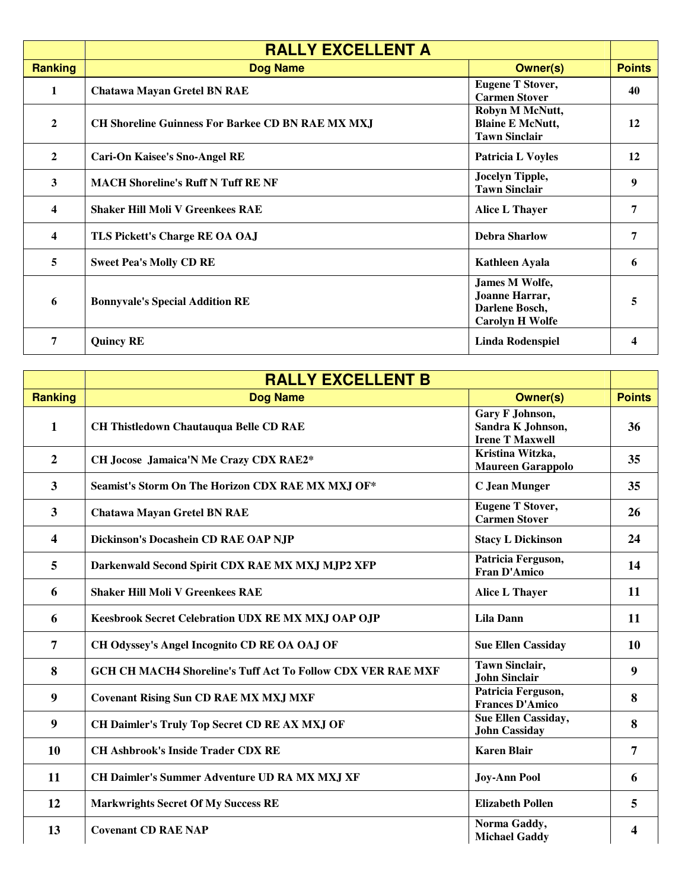|                         | <b>RALLY EXCELLENT A</b>                                 |                                                                              |               |
|-------------------------|----------------------------------------------------------|------------------------------------------------------------------------------|---------------|
| <b>Ranking</b>          | <b>Dog Name</b>                                          | <b>Owner(s)</b>                                                              | <b>Points</b> |
| $\mathbf{1}$            | <b>Chatawa Mayan Gretel BN RAE</b>                       | <b>Eugene T Stover,</b><br><b>Carmen Stover</b>                              | 40            |
| $\overline{2}$          | <b>CH Shoreline Guinness For Barkee CD BN RAE MX MXJ</b> | Robyn M McNutt,<br><b>Blaine E McNutt,</b><br><b>Tawn Sinclair</b>           | 12            |
| $\overline{2}$          | <b>Cari-On Kaisee's Sno-Angel RE</b>                     | <b>Patricia L Voyles</b>                                                     | 12            |
| 3                       | <b>MACH Shoreline's Ruff N Tuff RE NF</b>                | Jocelyn Tipple,<br><b>Tawn Sinclair</b>                                      | 9             |
| $\boldsymbol{4}$        | <b>Shaker Hill Moli V Greenkees RAE</b>                  | <b>Alice L Thayer</b>                                                        | 7             |
| $\overline{\mathbf{4}}$ | TLS Pickett's Charge RE OA OAJ                           | <b>Debra Sharlow</b>                                                         | 7             |
| 5                       | <b>Sweet Pea's Molly CD RE</b>                           | <b>Kathleen Ayala</b>                                                        | 6             |
| 6                       | <b>Bonnyvale's Special Addition RE</b>                   | James M Wolfe,<br>Joanne Harrar,<br>Darlene Bosch,<br><b>Carolyn H Wolfe</b> | 5             |
| 7                       | <b>Quincy RE</b>                                         | <b>Linda Rodenspiel</b>                                                      |               |

|                         | <b>RALLY EXCELLENT B</b>                                           |                                                                |                |
|-------------------------|--------------------------------------------------------------------|----------------------------------------------------------------|----------------|
| <b>Ranking</b>          | <b>Dog Name</b>                                                    | <b>Owner(s)</b>                                                | <b>Points</b>  |
| $\mathbf{1}$            | <b>CH Thistledown Chautauqua Belle CD RAE</b>                      | Gary F Johnson,<br>Sandra K Johnson,<br><b>Irene T Maxwell</b> | 36             |
| $\overline{2}$          | CH Jocose Jamaica'N Me Crazy CDX RAE2*                             | Kristina Witzka,<br><b>Maureen Garappolo</b>                   | 35             |
| $\mathbf{3}$            | Seamist's Storm On The Horizon CDX RAE MX MXJ OF*                  | <b>C</b> Jean Munger                                           | 35             |
| 3                       | <b>Chatawa Mayan Gretel BN RAE</b>                                 | <b>Eugene T Stover,</b><br><b>Carmen Stover</b>                | 26             |
| $\overline{\mathbf{4}}$ | Dickinson's Docashein CD RAE OAP NJP                               | <b>Stacy L Dickinson</b>                                       | 24             |
| 5                       | Darkenwald Second Spirit CDX RAE MX MXJ MJP2 XFP                   | Patricia Ferguson,<br>Fran D'Amico                             | 14             |
| 6                       | <b>Shaker Hill Moli V Greenkees RAE</b>                            | <b>Alice L Thayer</b>                                          | 11             |
| 6                       | Keesbrook Secret Celebration UDX RE MX MXJ OAP OJP                 | <b>Lila Dann</b>                                               | 11             |
| $\overline{7}$          | CH Odyssey's Angel Incognito CD RE OA OAJ OF                       | <b>Sue Ellen Cassiday</b>                                      | 10             |
| 8                       | <b>GCH CH MACH4 Shoreline's Tuff Act To Follow CDX VER RAE MXF</b> | <b>Tawn Sinclair,</b><br><b>John Sinclair</b>                  | 9              |
| 9                       | <b>Covenant Rising Sun CD RAE MX MXJ MXF</b>                       | Patricia Ferguson,<br><b>Frances D'Amico</b>                   | 8              |
| $\boldsymbol{9}$        | CH Daimler's Truly Top Secret CD RE AX MXJ OF                      | Sue Ellen Cassiday,<br><b>John Cassiday</b>                    | 8              |
| 10                      | <b>CH Ashbrook's Inside Trader CDX RE</b>                          | <b>Karen Blair</b>                                             | $\overline{7}$ |
| 11                      | <b>CH Daimler's Summer Adventure UD RA MX MXJ XF</b>               | <b>Joy-Ann Pool</b>                                            | 6              |
| 12                      | <b>Markwrights Secret Of My Success RE</b>                         | <b>Elizabeth Pollen</b>                                        | 5              |
| 13                      | <b>Covenant CD RAE NAP</b>                                         | Norma Gaddy,<br><b>Michael Gaddy</b>                           | 4              |